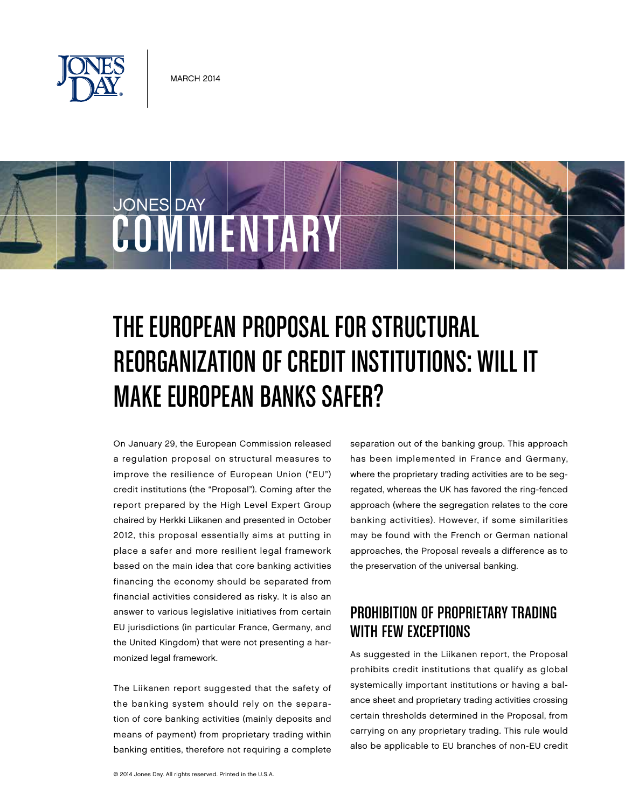

**COMMENTARY** 

JONES DAY

# The European Proposal for Structural Reorganization of Credit Institutions: Will It Make European Banks Safer?

On January 29, the European Commission released a regulation proposal on structural measures to improve the resilience of European Union ("EU") credit institutions (the "Proposal"). Coming after the report prepared by the High Level Expert Group chaired by Herkki Liikanen and presented in October 2012, this proposal essentially aims at putting in place a safer and more resilient legal framework based on the main idea that core banking activities financing the economy should be separated from financial activities considered as risky. It is also an answer to various legislative initiatives from certain EU jurisdictions (in particular France, Germany, and the United Kingdom) that were not presenting a harmonized legal framework.

The Liikanen report suggested that the safety of the banking system should rely on the separation of core banking activities (mainly deposits and means of payment) from proprietary trading within banking entities, therefore not requiring a complete separation out of the banking group. This approach has been implemented in France and Germany, where the proprietary trading activities are to be segregated, whereas the UK has favored the ring-fenced approach (where the segregation relates to the core banking activities). However, if some similarities may be found with the French or German national approaches, the Proposal reveals a difference as to the preservation of the universal banking.

# Prohibition of Proprietary Trading WITH FEW EXCEPTIONS

As suggested in the Liikanen report, the Proposal prohibits credit institutions that qualify as global systemically important institutions or having a balance sheet and proprietary trading activities crossing certain thresholds determined in the Proposal, from carrying on any proprietary trading. This rule would also be applicable to EU branches of non-EU credit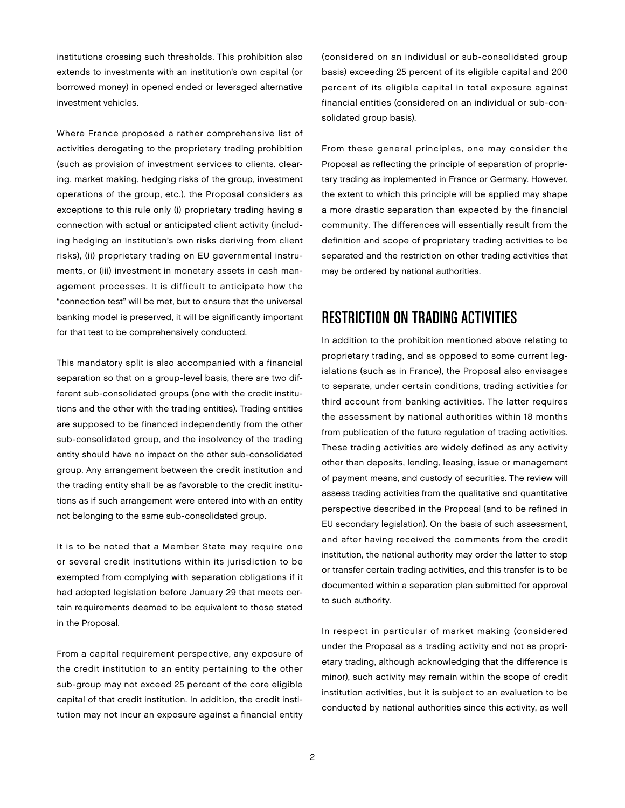institutions crossing such thresholds. This prohibition also extends to investments with an institution's own capital (or borrowed money) in opened ended or leveraged alternative investment vehicles.

Where France proposed a rather comprehensive list of activities derogating to the proprietary trading prohibition (such as provision of investment services to clients, clearing, market making, hedging risks of the group, investment operations of the group, etc.), the Proposal considers as exceptions to this rule only (i) proprietary trading having a connection with actual or anticipated client activity (including hedging an institution's own risks deriving from client risks), (ii) proprietary trading on EU governmental instruments, or (iii) investment in monetary assets in cash management processes. It is difficult to anticipate how the "connection test" will be met, but to ensure that the universal banking model is preserved, it will be significantly important for that test to be comprehensively conducted.

This mandatory split is also accompanied with a financial separation so that on a group-level basis, there are two different sub-consolidated groups (one with the credit institutions and the other with the trading entities). Trading entities are supposed to be financed independently from the other sub-consolidated group, and the insolvency of the trading entity should have no impact on the other sub-consolidated group. Any arrangement between the credit institution and the trading entity shall be as favorable to the credit institutions as if such arrangement were entered into with an entity not belonging to the same sub-consolidated group.

It is to be noted that a Member State may require one or several credit institutions within its jurisdiction to be exempted from complying with separation obligations if it had adopted legislation before January 29 that meets certain requirements deemed to be equivalent to those stated in the Proposal.

From a capital requirement perspective, any exposure of the credit institution to an entity pertaining to the other sub-group may not exceed 25 percent of the core eligible capital of that credit institution. In addition, the credit institution may not incur an exposure against a financial entity (considered on an individual or sub-consolidated group basis) exceeding 25 percent of its eligible capital and 200 percent of its eligible capital in total exposure against financial entities (considered on an individual or sub-consolidated group basis).

From these general principles, one may consider the Proposal as reflecting the principle of separation of proprietary trading as implemented in France or Germany. However, the extent to which this principle will be applied may shape a more drastic separation than expected by the financial community. The differences will essentially result from the definition and scope of proprietary trading activities to be separated and the restriction on other trading activities that may be ordered by national authorities.

## Restriction on Trading Activities

In addition to the prohibition mentioned above relating to proprietary trading, and as opposed to some current legislations (such as in France), the Proposal also envisages to separate, under certain conditions, trading activities for third account from banking activities. The latter requires the assessment by national authorities within 18 months from publication of the future regulation of trading activities. These trading activities are widely defined as any activity other than deposits, lending, leasing, issue or management of payment means, and custody of securities. The review will assess trading activities from the qualitative and quantitative perspective described in the Proposal (and to be refined in EU secondary legislation). On the basis of such assessment, and after having received the comments from the credit institution, the national authority may order the latter to stop or transfer certain trading activities, and this transfer is to be documented within a separation plan submitted for approval to such authority.

In respect in particular of market making (considered under the Proposal as a trading activity and not as proprietary trading, although acknowledging that the difference is minor), such activity may remain within the scope of credit institution activities, but it is subject to an evaluation to be conducted by national authorities since this activity, as well